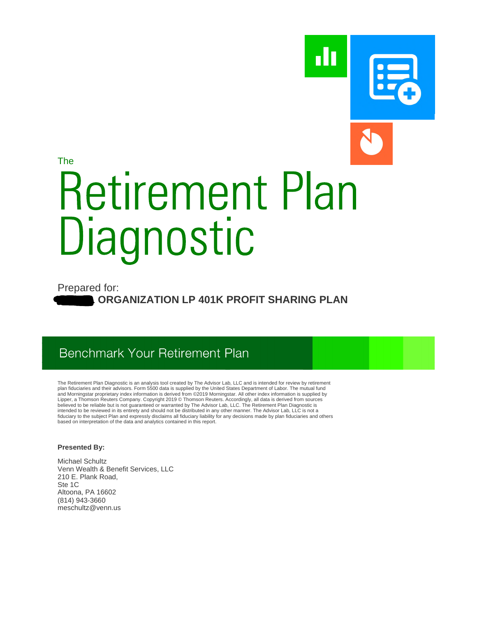

Prepared for: **CORGANIZATION LP 401K PROFIT SHARING PLAN** 

## Benchmark Your Retirement Plan

The Retirement Plan Diagnostic is an analysis tool created by The Advisor Lab, LLC and is intended for review by retirement plan fiduciaries and their advisors. Form 5500 data is supplied by the United States Department of Labor. The mutual fund and Morningstar proprietary index information is derived from ©2019 Morningstar. All other index information is supplied by Lipper, a Thomson Reuters Company. Copyright 2019 © Thomson Reuters. Accordingly, all data is derived from sources believed to be reliable but is not guaranteed or warranted by The Advisor Lab, LLC. The Retirement Plan Diagnostic is intended to be reviewed in its entirety and should not be distributed in any other manner. The Advisor Lab, LLC is not a<br>fiduciary to the subject Plan and expressly disclaims all fiduciary liability for any decisions made based on interpretation of the data and analytics contained in this report.

### **Presented By:**

Michael Schultz Venn Wealth & Benefit Services, LLC 210 E. Plank Road, Ste 1C Altoona, PA 16602 (814) 943-3660 meschultz@venn.us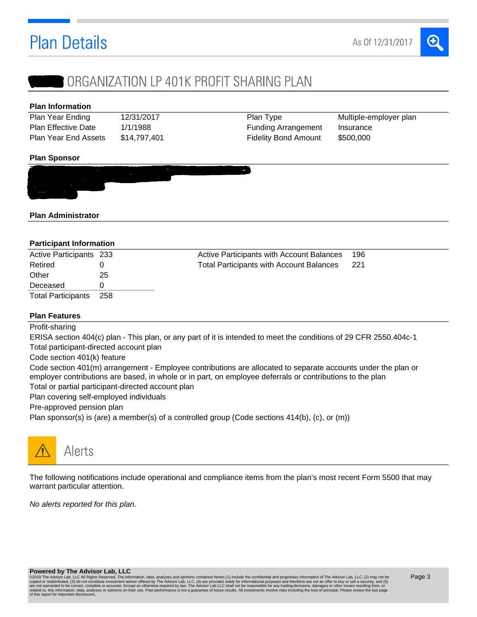# **Plan Details**

# O

## **CORGANIZATION LP 401K PROFIT SHARING PLAN**

### **Plan Information**

Plan Year Ending Plan Effective Date Plan Year End Assets 12/31/2017 1/1/1988 \$14,797,401 Plan Type Funding Arrangement Fidelity Bond Amount

Multiple-employer plan Insurance \$500,000

## **Plan Sponsor**



### **Plan Administrator**

### **Participant Information**

| Active Participants 233   |     | Active Participants with Account Balances       | 196 |
|---------------------------|-----|-------------------------------------------------|-----|
| Retired                   |     | <b>Total Participants with Account Balances</b> | 221 |
| Other                     | 25  |                                                 |     |
| Deceased                  |     |                                                 |     |
| <b>Total Participants</b> | 258 |                                                 |     |

## **Plan Features**

Profit-sharing

ERISA section 404(c) plan - This plan, or any part of it is intended to meet the conditions of 29 CFR 2550.404c-1 Total participant-directed account plan

Code section 401(k) feature

Code section 401(m) arrangement - Employee contributions are allocated to separate accounts under the plan or employer contributions are based, in whole or in part, on employee deferrals or contributions to the plan

Total or partial participant-directed account plan

Plan covering self-employed individuals

Pre-approved pension plan

Plan sponsor(s) is (are) a member(s) of a controlled group (Code sections 414(b), (c), or (m))



**Alerts** 

The following notifications include operational and compliance items from the plan's most recent Form 5500 that may warrant particular attention.

*No alerts reported for this plan.*

**POWERED by The Advisor Lab, LLC**<br>@2019 The Advisor Lab, LLCA lill Rights Reserved. The information, data, analyses and opinions contained herein (1) include the confidential and proprietary information of The Advisor Lab,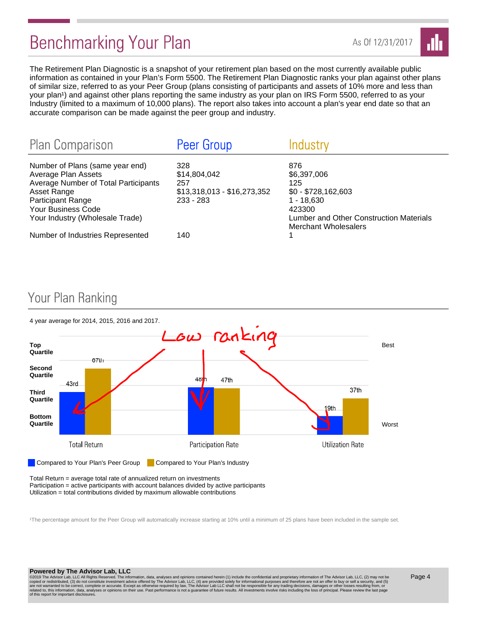# **Benchmarking Your Plan**



The Retirement Plan Diagnostic is a snapshot of your retirement plan based on the most currently available public information as contained in your Plan's Form 5500. The Retirement Plan Diagnostic ranks your plan against other plans of similar size, referred to as your Peer Group (plans consisting of participants and assets of 10% more and less than your plan<sup>1</sup>) and against other plans reporting the same industry as your plan on IRS Form 5500, referred to as your Industry (limited to a maximum of 10,000 plans). The report also takes into account a plan's year end date so that an accurate comparison can be made against the peer group and industry.

| <b>Plan Comparison</b>                                      | Peer Group                  | Industry                                                               |
|-------------------------------------------------------------|-----------------------------|------------------------------------------------------------------------|
| Number of Plans (same year end)                             | 328                         | 876                                                                    |
| Average Plan Assets<br>Average Number of Total Participants | \$14,804,042<br>257         | \$6,397,006<br>125                                                     |
| Asset Range                                                 | $$13,318,013 - $16,273,352$ | $$0 - $728,162,603$                                                    |
| Participant Range<br><b>Your Business Code</b>              | $233 - 283$                 | 1 - 18.630<br>423300                                                   |
| Your Industry (Wholesale Trade)                             |                             | Lumber and Other Construction Materials<br><b>Merchant Wholesalers</b> |
| Number of Industries Represented                            | 140                         |                                                                        |

## Your Plan Ranking



Total Return = average total rate of annualized return on investments Participation = active participants with account balances divided by active participants Utilization = total contributions divided by maximum allowable contributions

<sup>1</sup>The percentage amount for the Peer Group will automatically increase starting at 10% until a minimum of 25 plans have been included in the sample set.

**POWERED by The Advisor Lab, LLC**<br>@2019 The Advisor Lab, LLCA lill Rights Reserved. The information, data, analyses and opinions contained herein (1) include the confidential and proprietary information of The Advisor Lab,